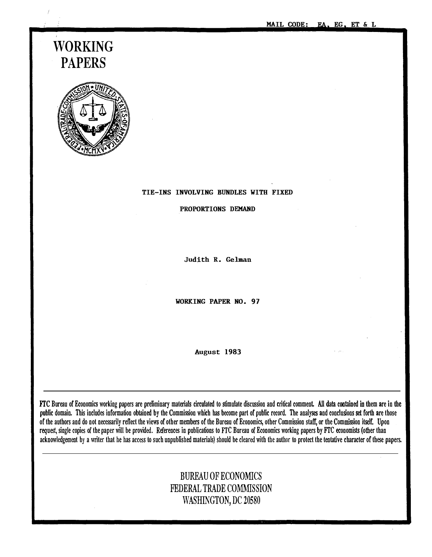MAIL CODE: EA, EG, ET & L

# WORKING PAPERS



#### TIE-INS INVOLVING BUNDLES WITH FIXED

PROPORTIONS DEMAND

Judith R. Gelman

WORKING PAPER NO. 97

August 1983

FTC Bureau of Economics working papers are preliminary materials circulated to stimulate discussion and critical comment. All data contained in them are in the public domain. This includes information obtained by the Commission which has become part of public record. The analyses and conclusions set forth are those of the authors and do not necessarily reflect the views of other members of the Bureau of Economics, other Commission staff, or the Commission itself. Upon request, single copies of the paper will be provided. References in publications to FTC Bureau of Economics working papers by FTC economists (other than acknowledgement by a writer that he has access to such unpublished materials) should be cleared with the author to protect the tentative character of these papers.

# BUREAU OF ECONOMICS FEDERAL TRADE COMMISSION WASHINGTON, DC 20580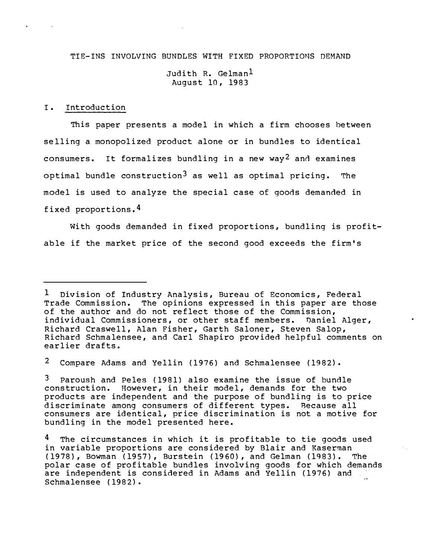TIE-INS INVOLVING BUNDLES WITH FIXED PROPORTIONS DEMAND

Judith R. Gelman<sup>1</sup> August 10, 1983

### I. Introduction

This paper presents a model in which a firm chooses between selling a monopolized product alone or in bundles to identical consumers. It formalizes bundling in a new way<sup>2</sup> and examines optimal bundle construction<sup>3</sup> as well as optimal pricing. The model is used to analyze the special case of goods demanded in fixed proportions.4

With goods demanded in fixed proportions, bundling is profitable if the market price of the second good exceeds the firm 's

2 Compare Adams and Yellin (1976} and Schmalensee (1982}.

Paroush and Peles (1981) also examine the issue of bundle construction. However, in their model, demands for the two products are independent and the purpose of bundling is to price discriminate among consumers of different types. Because all consumers are identical, price discrimination is not a motive for bundling in the model presented here.

<sup>1</sup> Division of Industry Analysis, Bureau of Economics, Federal Trade Commission. The opinions expressed in this paper are those of the author and do not reflect those of the Commission, individual Commissioners, or other staff members. Daniel Alger, Richard Craswell, Alan Fisher, Garth Saloner, Steven Salop, Richard Schmalensee, and Carl Shapiro provided helpful comments on earlier drafts.

<sup>4</sup> The circumstances in which it is profitable to tie goods used in variable proportions are considered by Blair and Kaserman (1978}, Bowman (1957}, Burstein (1960}, and Gelman (1983}. The polar case of profitable bundles involving goods for which demands are independent is considered in Adams and Yellin (1976) and Schmalensee (1982}.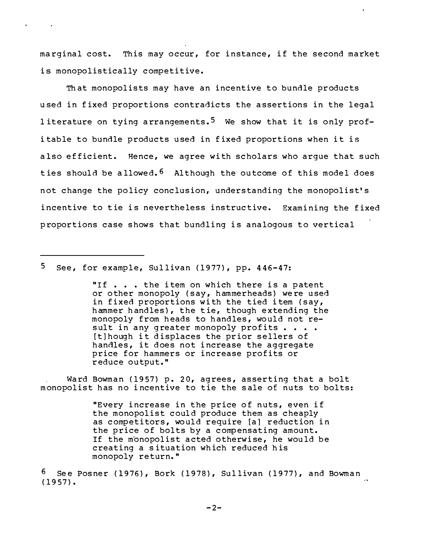marginal cost. This may occur, for instance, if the second market is monopolistically competitive.

 $\pmb{\lambda}$ 

Th at monopolists may have an incentive to bundle products u sed in fixed proportions contradicts the assertions in the legal literature on tying arrangements.<sup>5</sup> We show that it is only profi table to bundle products used in fixed proportions when it is also efficient. Hence, we agree with scholars who arque that such ties should be allowed.<sup>6</sup> Although the outcome of this model does not change the policy conclusion, understanding the monopolist's incentive to tie is nevertheless instructive. Examining the fixed proportions case shows that bundling is analogous to vertical

5 See, for example, Sul livan (1977}, pp. 446-47:

 $\mathbf{v}$  .

sult in any greater monopoly profits . . . . "If . . . the item on which there is a patent or other monopoly (say, hammerheads) were used in fixed proportions with the tied i tem (say, hammer handles}, the tie, though extending the monopoly from heads to handles, would not re-[t]hough it displaces the prior sellers of handles, it does not increase the aggregate price for hammers or increase profits or reduce output."

Ward Bowman (1957) p. 20, agrees, asserting that a bolt monopolist has no incentive to tie the sale of nuts to bolts:

> "Every increase in the price of nuts, even if the monopolist could produce them as cheaply as competitors, would require [a] reduction in the price of bolts by a compensating amount. If the monopolist acted otherwise, he would be creating a s ituation which reduced his monopoly return. "

 $6$  See Posner (1976), Bork (1978), Sullivan (1977), and Bowman (1957}.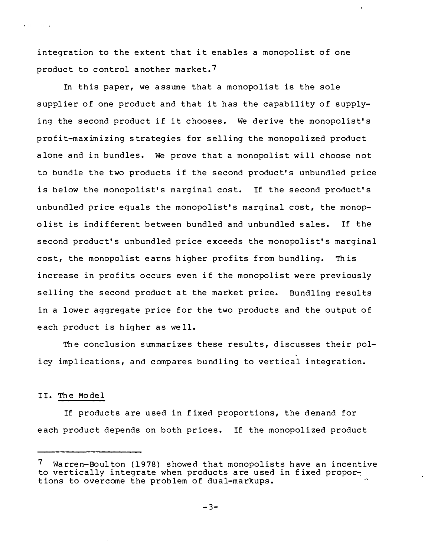integration to the extent that it enables a monopolist of one product to control another market. ?

In this paper, we assume that a monopolist is the sole supplier of one product and that it has the capability of supplying the second product if it chooses. We derive the monopolist's profit-maximizing strategies for selling the monopolized product alone and in bundles. We prove that a monopolist will choose not to bundle the two products if the second product's unbundled price is below the monopolist's marginal cost. If the second product's unbundled price equals the monopolist's marginal cost, the monopo list is indifferent betwe en bundled and unbundled sales. If the second product's unbundled price exceeds the monopolist's marginal cost, the monopolist earns higher profits from bundling. This increase in profits occurs even if the monopolist were previously selling the second product at the market price. Bundling results in a lower aggregate price for the two products and the output of e ach product is higher as we ll.

The conclusion summarizes these results, discusses their policy implications, and compares bundling to vertical integration.

## II. The Model

If products are used in fixed proportions, the demand for e ach product depends on both prices. If the monopolized product

Warren-Boulton (1978) showed that monopolists have an incentive to vertically integrate when products are used in fixed proportions to overcome the problem of dual-markups.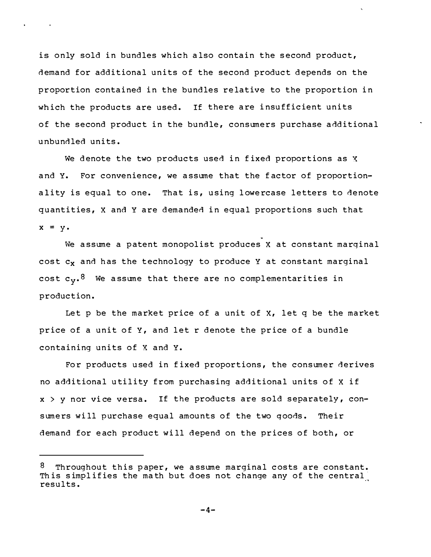is only sold in bundles which also contain the second product, demand for additional units of the second product depends on the proportion contained in the bundles relative to the proportion in which the products are used. If there are insufficient units of the second product in the bundle, consumers purchase additional unbundled units.

We denote the two products used in fixed proportions as  $X$ and Y. For convenience, we assume that the f actor of proportionality is equal to one. That is, using lowercase letters to denote quantities, X and Y are demanded in equal proportions such that  $x = y$ .

We assume a patent monopolist produces X at constant marginal cost  $c_x$  and has the technology to produce Y at constant marginal cost  $c_v$ .<sup>8</sup> We assume that there are no complementarities in production.

Let p be the market price of a unit of X, let q be the market price of a unit of Y, and let r denote the price of a bundle containing units of X and Y.

For products used in fixed proportions, the consumer derives no additional utility from purchasing additional units of X if  $x > y$  nor vice versa. If the products are sold separately, consumers will purchase equal amounts of the two goods. Their demand for each product will depend on the prices of both, or

 $8$  Throughout this paper, we assume marginal costs are constant. This simplifies the math but does not change any of the central results.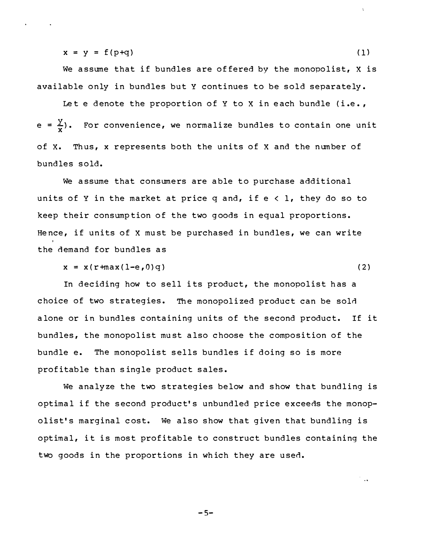$x = y = f(p+q)$  (1)

We assume that if bundles are offered by the monopolist,  $X$  is available only in bundles but Y continues to be sold separately .

Let e denote the proportion of Y to X in each bundle (i.e., e =  $\frac{y}{x}$ ). For convenience, we normalize bundles to contain one unit of X. Th us, x represents both the units of X and the num ber of bundles sold.

We assume that consumers are able to purchase additional units of Y in the market at price q and, if  $e < 1$ , they do so to keep their consump tion of the two g oods in equal proportions. Hence, if units of X must be purchased in bundles, we can write the demand for bundles as

 $x = x(r + max(1-e, 0)q)$  (2)

 $\sim$   $\sim$ 

In deciding how to sell its product, the monopolist has a choice of two strategies. The monopolized product can be sold alone or in bundles containing units of the second product. If it bundles, the monopolist must also choose the composition of the bundle e. The monopolist sells bundles if doing so is more profitable than single product sales.

We analyze the two strategies below and show that bundling is optimal if the second product's unbundled price exceeds the monopolist's marginal cost. We also show that given that bundling is optimal, it is most profitable to construct bundles containing the two goods in the proportions in wh ich they are used.

$$
-5-
$$

 $\lambda$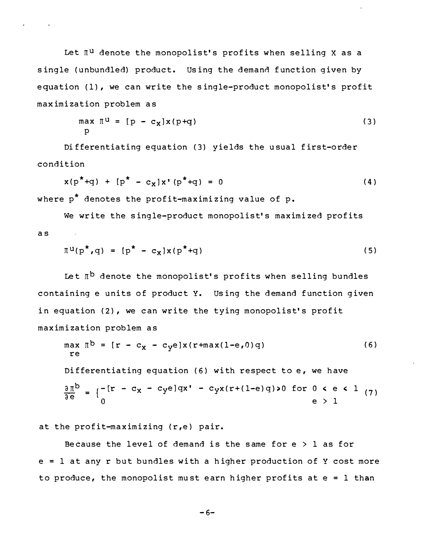Let  $\mathbb{I}^{\mathrm{u}}$  denote the monopolist's profits when selling X as a single (unbundled) product. Using the demand function given by equation (1), we can write the single-product monopolist's profit maximization problem as

$$
\max_{p} \mathbb{I}^{u} = [p - c_{x}]x(p+q)
$$
 (3)

Differentiating equation (3) yields the usual first-order condition

$$
x(p^*+q) + [p^* - c_x]x'(p^*+q) = 0
$$
 (4)

where  $p^*$  denotes the profit-maximizing value of p.

We write the single-product monopolist's maximi zed profits as

$$
\Pi^{\mathbf{u}}(\mathbf{p}^{\star}, \mathbf{q}) = [\mathbf{p}^{\star} - \mathbf{c}_{\mathbf{X}}] \mathbf{x} (\mathbf{p}^{\star} + \mathbf{q}) \tag{5}
$$

Let  $\mathbb{I}^{\mathsf{b}}$  denote the monopolist's profits when selling bundles containing e units of product Y. Us ing the d emand function given in equation (2), we can write the tying monopolist's profit maximization problem as

$$
\max_{r \in \mathbb{R}} \pi^b = [r - c_x - c_y e] x (r + \max(l - e, 0) q)
$$
\n
$$
\text{Differentiating equation (6) with respect to e, we have}
$$
\n
$$
\frac{\partial \pi^b}{\partial e} = \begin{cases} -[r - c_x - c_y e] qx' - c_y x (r + (l - e) q) > 0 & \text{for } 0 < e < 1 \\ 0 & \text{e} > 1 \end{cases}
$$
\n
$$
\text{(7)}
$$

at the profit-maximizing  $(r,e)$  pair.

Because the level of demand is the same for  $e > 1$  as for  $e = 1$  at any r but bundles with a higher production of Y cost more to produce, the monopolist must earn higher profits at  $e = 1$  than

$$
-6-
$$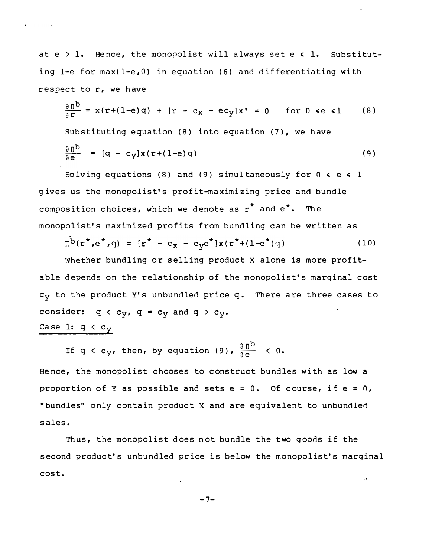at  $e > 1$ . Hence, the monopolist will always set  $e \leq 1$ . Substituting 1-e for max(l-e,O} in equation (6} and differentiating with respect to r, we have

$$
\frac{\partial \Pi^{b}}{\partial r} = x(r+(1-e)q) + [r - c_{x} - ec_{y}]x' = 0 \quad \text{for } 0 \le \epsilon 1 \quad (8)
$$
  
Substituting equation (8) into equation (7), we have  

$$
\frac{\partial \Pi^{b}}{\partial e} = [q - c_{y}]x(r+(1-e)q)
$$
(9)

Solving equations (8) and (9) simultaneously for  $0 \le \epsilon \le 1$ g ives us the monopolist's profit-ma ximizing price and bundle composition choices, which we denote as  $r^*$  and  $e^*$ . The monopolist's maximized profits from bundling can be written as

$$
\Pi^b(r^*, e^*, q) = [r^* - c_x - c_y e^*]x(r^* + (1 - e^*)q)
$$
 (10)

Whether bundling or selling product X alone is more profitable depends on the relationship of the monopolist's marginal cost  $c_y$  to the product Y's unbundled price q. There are three cases to consider:  $q < c_v$ ,  $q = c_v$  and  $q > c_v$ .

Case 1:  $q < c_y$ 

If q < c<sub>y</sub>, then, by equation (9),  $\frac{3\,\Pi^{\mathsf{b}}}{\mathsf{a}\,\mathsf{e}}$  < 0.

He nce, the monopolist chooses to construct bundles with as low a proportion of Y as possible and sets  $e = 0$ . Of course, if  $e = 0$ , "bundles" only contain product X and are equivalent to unbundled sales.

Thus, the monopolist does not bundle the two goods if the second product's unbundled price is below the monopolist's marginal cost.

$$
-7-
$$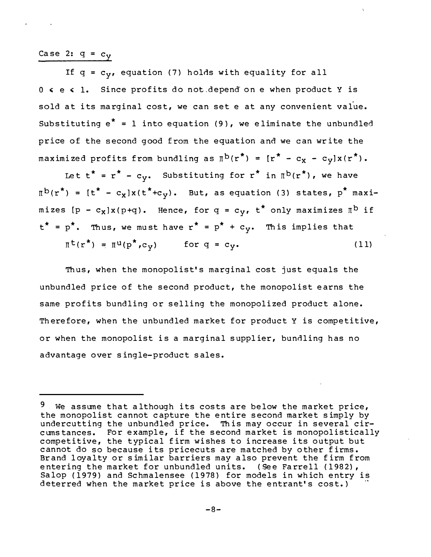Case 2:  $q = c_v$ 

If  $q = c_v$ , equation (7) holds with equality for all 0 < e < 1. Since profits do not depend on e when product Y is sold at its marginal cost, we can set e at any convenient value. Substituting  $e^* = 1$  into equation (9), we eliminate the unbundled price of the second good from the equation and we can write the maximized profits from bundling as  $\pi^b(r^*) = [r^* - c_x - c_y]x(r^*)$ .

Let  $t^* = r^* - c_v$ . Substituting for  $r^*$  in  $\P^{b}(r^*)$ , we have  $\Pi^{b}(r^{*}) = [t^{*} - c_{x}]x(t^{*}+c_{y}).$  But, as equation (3) states, p<sup>\*</sup> maximizes  $[p - c_x]x(p+q)$ . Hence, for  $q = c_y$ ,  $t^*$  only maximizes  $I^b$  if  $t^* = p^*$ . Thus, we must have  $r^* = p^* + c_y$ . This implies that  $\mathbb{I}^{\mathsf{t}}(\mathbf{r}^*) = \mathbb{I}^{\mathsf{u}}(\mathbf{p}^*, \mathbf{c}_{\mathsf{y}})$  for  $\mathsf{q} = \mathsf{c}_{\mathsf{y}}$ .  $(11)$ 

Thus, when the monopolist's marginal cost just equals the unbundled price of the second product, the monopolist earns the same profits bundling or selling the monopolized product alone. Therefore, when the unbundled market for product Y is competitive, or when the monopolist is a marginal supplier, bundling has no advantage over single-product sales.

<sup>&</sup>lt;sup>9</sup> We assume that although its costs are below the market price, the monopolist cannot capture the entire second market simply by undercutting the unbundled price. This may occur in several circumstances. For example, if the second market is monopolistically competitive, the typical firm wishes to increase its output but cannot do so because its pricecuts are matched by other firms. Brand loyalty or similar barriers may also prevent the firm from entering the market for unbundled units. (See Farrell (1982), Salop (1979) and Schmalensee (1978) for models in which entry is deterred when the market price is above the entrant's cost.)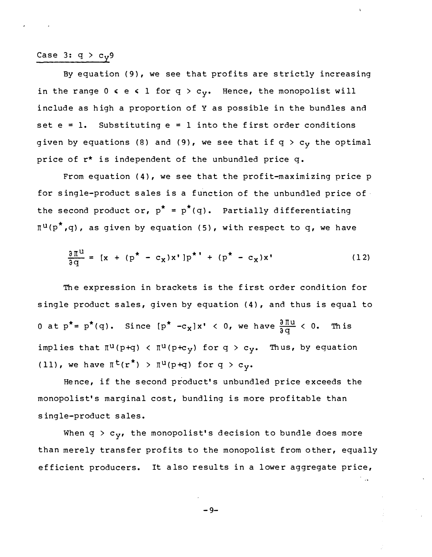# Case 3:  $q > c_y$ 9

By equation (9}, we see that profits are strictly increasing in the range  $0 \le e \le 1$  for  $q > c_y$ . Hence, the monopolist will include as high a proportion of Y as possible in the bundles and set  $e = 1$ . Substituting  $e = 1$  into the first order conditions given by equations (8) and (9), we see that if  $q > c_v$  the optimal price of  $r^*$  is independent of the unbundled price  $q$ .

From equation (4}, we see that the profit-maximizing price p for single-product sales is a function of the unbundled price of the second product or,  $p^* = p^*(q)$ . Partially differentiating  $\pi^u(p^*,q)$ , as given by equation (5), with respect to q, we have

$$
\frac{\partial \Pi^{U}}{\partial q} = [x + (p^{*} - c_{X})x']p^{*} + (p^{*} - c_{X})x'
$$
 (12)

The expression in brackets is the first order condition for single product sales, given by equation (4}, and thus is equal to 0 at  $p^* = p^*(q)$ . Since  $[p^* -c_x]x' < 0$ , we have  $\frac{\partial \Pi u}{\partial q} < 0$ . This implies that  $\pi^u(p+q)$  <  $\pi^u(p+c_y)$  for  $q > c_y$ . Thus, by equation (11), we have  $\pi^t(r^*) > \pi^u(p+q)$  for  $q > c_v$ .

He nce, if the second product's unbundled price exceeds the monopolist's marginal cost, bundling is more profitable than single-product sales.

When  $q > c_y$ , the monopolist's decision to bundle does more than merely transfer profits to the monopolist from other, equally efficient producers. It also results in a lower aggregate price,

$$
-9-
$$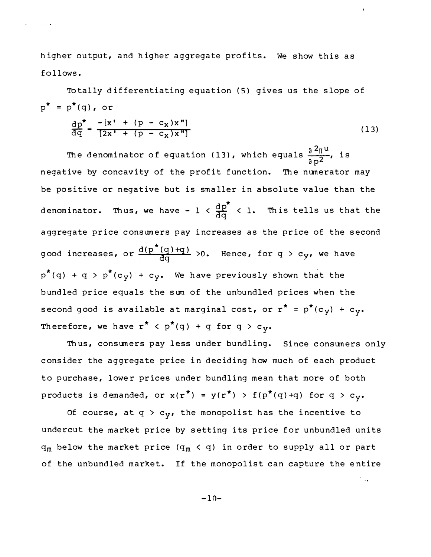higher output, and higher aggregate profits. We show this as follows.

 $p^* = p^*(q)$ , or  $\frac{dp^{*}}{dq} = \frac{-[x' + (p - c_{x})x'']}{[2x' + (p - c_{x})x'']}$ To tally d ifferentiating equation (5) gives us the slope of  $(13)$ 

 $\ddot{\phantom{a}}$ 

÷.,

 $\frac{\mathrm{d}\,\mathrm{p}^\star}{\mathrm{d}\,\mathrm{q}}$  $\frac{d(p^*(q)+q)}{dq}$ The denominator of equation (13), which equals  $\frac{32_{\rm{II}}}{{\mathfrak{d}} \, {\rm{p}}}$  is negative by concavity of the profit function. The numerator may be positive or negative but is smaller in absolute value than the denominator. Thus, we have -  $1 < \frac{12}{35} < 1$ . This tells us that the a ggregate price consumers pay increases as the price of the second good increases, or  $\frac{d(P+Q)+q}{dq} > 0$ . Hence, for  $q > c_{y}$ , we have  $p^*(q) + q > p^*(c_{v}) + c_{v}$ . We have previously shown that the bundled price equals the sum of the unbundled prices when the second good is available at marginal cost, or  $r^* = p^*(c_y) + c_y$ . Therefore, we have  $r^* \leq p^*(q) + q$  for  $q > c_{y}$ .

Th us, consumers pay less under bundling. Since consumers only consider the aggregate price in deciding how much of each product to purchase, lower prices under bundling mean that more of both products is demanded, or  $x(r^*) = y(r^*) > f(p^*(q)+q)$  for  $q > c_y$ .

Of course, at q >  $c_{y}$ , the monopolist has the incentive to undercut the market price by setting its price for unbundled units  $q_m$  below the market price ( $q_m < q$ ) in order to supply all or part of the unbundled market. If the monopolist can capture the entire

 $-10-$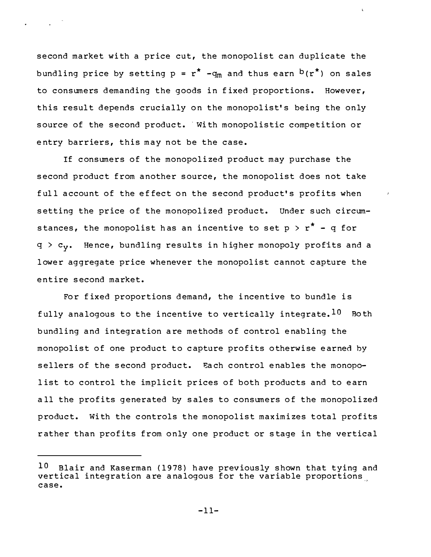second market with a price cut, the monopolist can duplicate the bundling price by setting  $p = r^* - q_m$  and thus earn  $b(r^*)$  on sales to consumers demanding the goods in fixed proportions. However, this result depends crucially on the monopolist's being the only source of the second product. With monopolistic competition or entry barriers, this may not be the case.

If consumers of the monopolized product may purchase the second product from another source, the monopolist does not take full account of the effect on the second product's profits when setting the price of the monopolized product. Under such circumstances, the monopolist has an incentive to set  $p > r^* - q$  for  $q > c_v$ . Hence, bundling results in higher monopoly profits and a lower aggregate price whenever the monopolist cannot capture the ent ire second market.

For fixed proportions demand, the incentive to bundle is fully analogous to the incentive to vertically integrate.  $10$  Both bundling and integration are methods of control enabling the monopolist of one product to capture profits otherwise earned by sellers of the second product. Each control enables the monopolist to control the implicit prices of both products and to earn a ll the profits generated by sales to consumers of the monopolized product. With the controls the monopolist maximizes total profits rather than profits from only one product or stage in the vertical

Blair and Kaserman (1978) have previously shown that tying and vertical integration are analogous for the variable proportions case. 10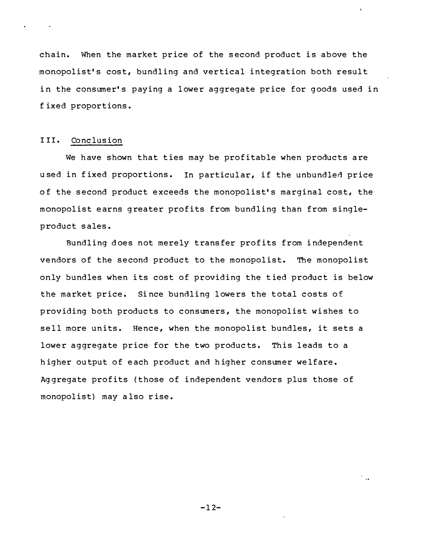chain. When the market price of the second product is above the monopolist's cost, bundling and vertical integration both result in the consumer's paying a lower aggregate price for goods used in f ixed proportions.

## III. Conclusion

We have shown that ties may be profitable when products are used in fixed proportions. In particular, if the unbundled price of the second product exceeds the monopolist's marginal cost, the monopolist earns greater profits from bundling than from singleproduct sales.

Bundling does not merely transfer profits from independent vendors of the second product to the monopolist. The monopolist only bundles when its cost of providing the tied product is below the market price. Since bundling lowers the total costs of providing both products to consumers, the monopolist wishes to sell more units. Hence, when the monopolist bundles, it sets a lower aggregate price for the two products. This leads to a higher output of each product and higher consumer welfare. Ag gregate profits (those of independent vendors plus those of monopolist) may also rise.

 $-12-$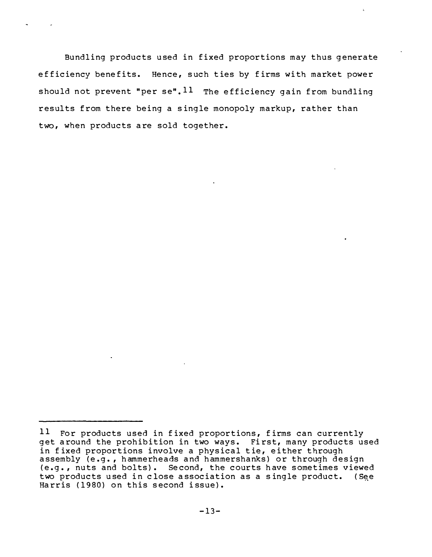Bundling products used in fixed proportions may thus generate efficiency benefits. Hence, such ties by firms with market power should not prevent "per se".  $11$  The efficiency gain from bundling results from there being a single monopoly markup, rather than two, when products are sold together.

 $11$  For products used in fixed proportions, firms can currently get around the prohibition in two ways. First, many products used in fixed proportions involve a physical tie, either through assembly (e.g., hammerheads and hammershanks) or through design (e. g. , nuts and bolts) . Se cond, the courts have sometimes viewed two products used in close association as a single product. (See Harris (1980) on this second issue).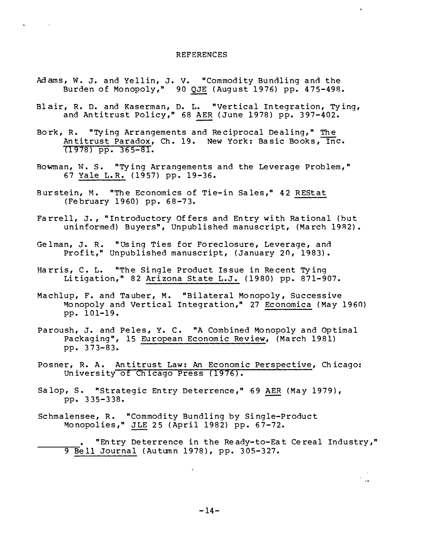#### **REFERENCES**

 $\pmb{\lambda}$ 

 $\sim$ 

- Adams, W. J. and Yellin, J. V. "Commodity Bundling and the Burden of Monopoly," 90 QJE (August 1976) pp. 475-498.
- Blair, R. D. and Kaserman, D. L. "Vertical Integration, Tying, and Antitrust Policy," 68 AER (June 1978) pp. 397-402.
- Bork, R. "Tying Arrangements and Reciprocal Dealing," The Antitrust Paradox, Ch. 19. New York: Basic Books, Inc.  $(1978)$  pp. 365-81.
- Bowman, W. S. "Tying Arrangements and the Leverage Problem," 67 Yale L.R. (1957) pp. 19-36.
- Burstein, M. "The Economics of Tie-in Sales," 42 REStat (February 1960) pp. 68-73.
- Farrell, J., "Introductory Offers and Entry with Rational (but uninformed) Buyers", Unpublished manuscript, (March 1982).
- Gelman, J. R. "Using Ties for Foreclosure, Leverage, and Profit," Unpublished manuscript, (January 20, 1983).
- Harris, C. L. "The Single Product Issue in Recent Tying Litigation," 82 Arizona State L.J. (1980) pp. 871-907.
- Machlup, F. and Tauber, M. "Bilateral Monopoly, Successive Monopoly and Vertical Integration," 27 Economica (May 1960) pp. 101-19.
- Paroush, J. and Peles, Y. C. "A Combined Monopoly and Optimal Packaging", 15 European Economic Review, (March 1981) pp. 373-83.
- Posner, R. A. Antitrust Law: An Economic Perspective, Chicago: University of Chicago Press (1976).
- Salop, S. "Strategic Entry Deterrence," 69 AER (May 1979), pp. 335-338.
- Schmalensee, R. "Commodity Bundling by Single-Product Monopolies," JLE 25 (April 1982) pp. 67-72.

"Entry Deterrence in the Ready-to-Eat Cereal Industry," 9 Bell Journal (Autumn 1978), pp. 305-327.